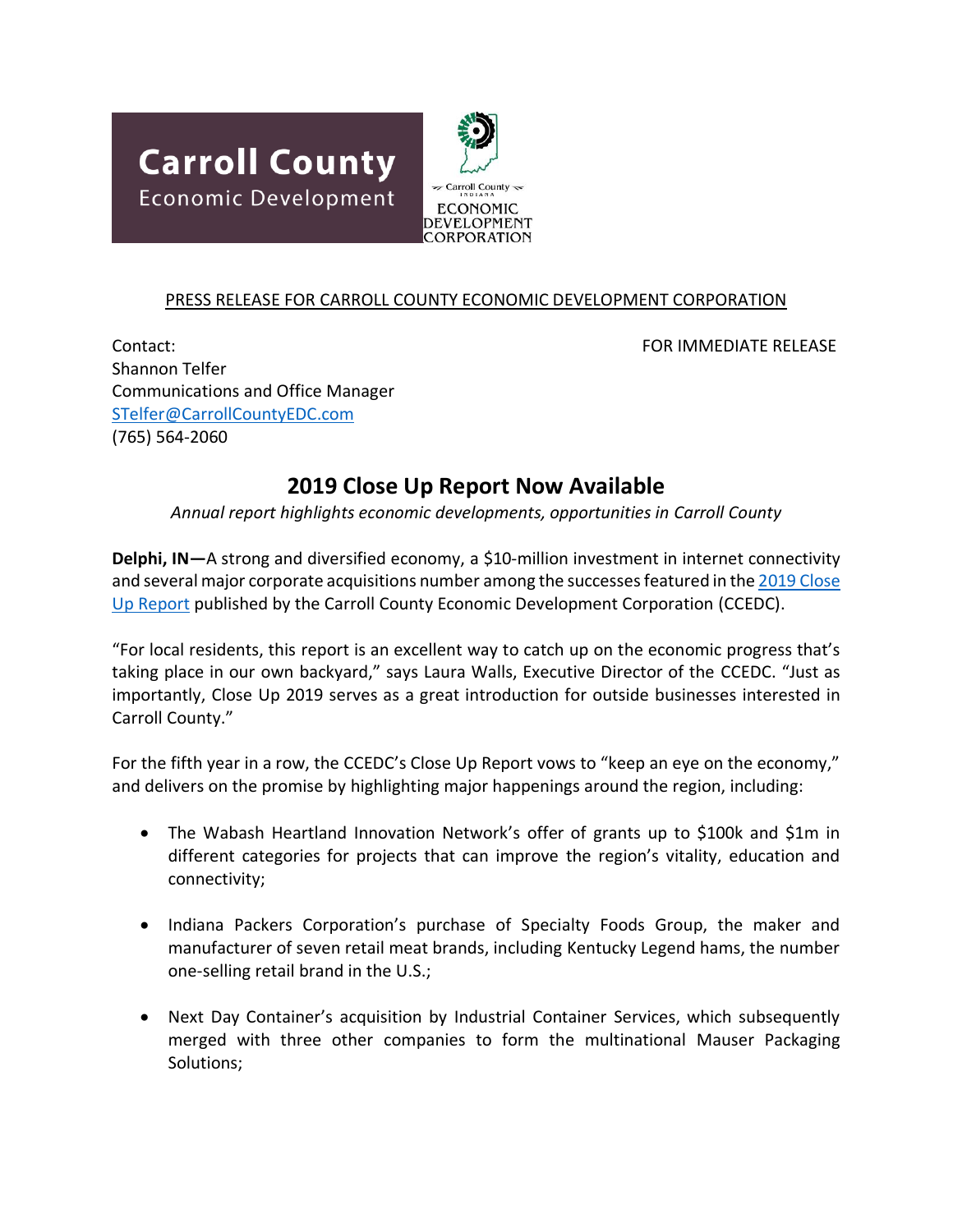



## PRESS RELEASE FOR CARROLL COUNTY ECONOMIC DEVELOPMENT CORPORATION

Contact: FOR IMMEDIATE RELEASE Shannon Telfer Communications and Office Manager [STelfer@CarrollCountyEDC.com](mailto:STelfer@CarrollCountyEDC.com) (765) 564-2060

## **2019 Close Up Report Now Available**

## *Annual report highlights economic developments, opportunities in Carroll County*

**Delphi, IN**—A strong and diversified economy, a \$10-million investment in internet connectivity and several major corporate acquisitions number among the successes featured in the 2019 Close [Up Report](http://www.carrollcountyedc.com/information/press-releases-news/close-up-report-2019/file) published by the Carroll County Economic Development Corporation (CCEDC).

"For local residents, this report is an excellent way to catch up on the economic progress that's taking place in our own backyard," says Laura Walls, Executive Director of the CCEDC. "Just as importantly, Close Up 2019 serves as a great introduction for outside businesses interested in Carroll County."

For the fifth year in a row, the CCEDC's Close Up Report vows to "keep an eye on the economy," and delivers on the promise by highlighting major happenings around the region, including:

- The Wabash Heartland Innovation Network's offer of grants up to \$100k and \$1m in different categories for projects that can improve the region's vitality, education and connectivity;
- Indiana Packers Corporation's purchase of Specialty Foods Group, the maker and manufacturer of seven retail meat brands, including Kentucky Legend hams, the number one-selling retail brand in the U.S.;
- Next Day Container's acquisition by Industrial Container Services, which subsequently merged with three other companies to form the multinational Mauser Packaging Solutions;